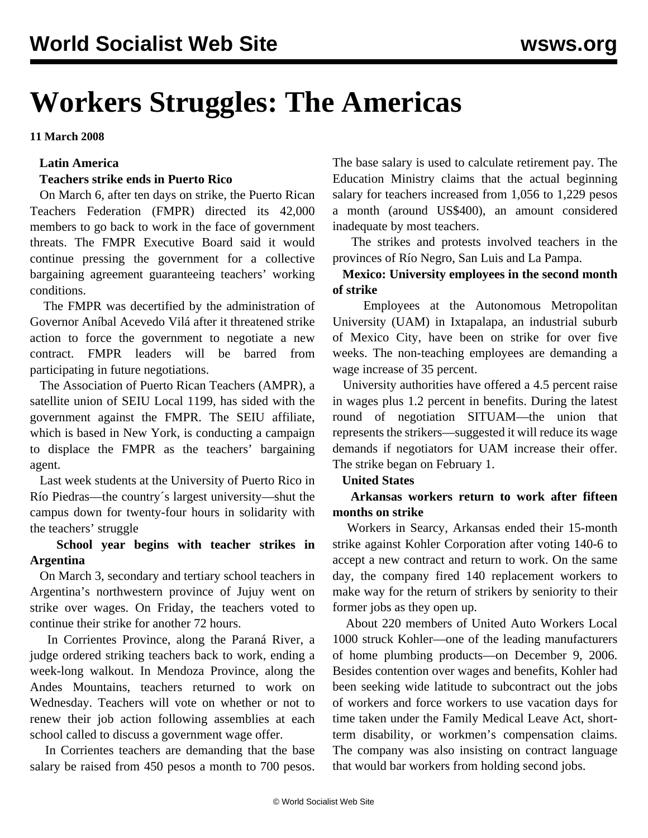# **Workers Struggles: The Americas**

**11 March 2008**

#### **Latin America**

### **Teachers strike ends in Puerto Rico**

 On March 6, after ten days on strike, the Puerto Rican Teachers Federation (FMPR) directed its 42,000 members to go back to work in the face of government threats. The FMPR Executive Board said it would continue pressing the government for a collective bargaining agreement guaranteeing teachers' working conditions.

 The FMPR was decertified by the administration of Governor Aníbal Acevedo Vilá after it threatened strike action to force the government to negotiate a new contract. FMPR leaders will be barred from participating in future negotiations.

 The Association of Puerto Rican Teachers (AMPR), a satellite union of SEIU Local 1199, has sided with the government against the FMPR. The SEIU affiliate, which is based in New York, is conducting a campaign to displace the FMPR as the teachers' bargaining agent.

 Last week students at the University of Puerto Rico in Río Piedras—the country´s largest university—shut the campus down for twenty-four hours in solidarity with the teachers' struggle

## **School year begins with teacher strikes in Argentina**

 On March 3, secondary and tertiary school teachers in Argentina's northwestern province of Jujuy went on strike over wages. On Friday, the teachers voted to continue their strike for another 72 hours.

 In Corrientes Province, along the Paraná River, a judge ordered striking teachers back to work, ending a week-long walkout. In Mendoza Province, along the Andes Mountains, teachers returned to work on Wednesday. Teachers will vote on whether or not to renew their job action following assemblies at each school called to discuss a government wage offer.

 In Corrientes teachers are demanding that the base salary be raised from 450 pesos a month to 700 pesos.

The base salary is used to calculate retirement pay. The Education Ministry claims that the actual beginning salary for teachers increased from 1,056 to 1,229 pesos a month (around US\$400), an amount considered inadequate by most teachers.

 The strikes and protests involved teachers in the provinces of Río Negro, San Luis and La Pampa.

## **Mexico: University employees in the second month of strike**

 Employees at the Autonomous Metropolitan University (UAM) in Ixtapalapa, an industrial suburb of Mexico City, have been on strike for over five weeks. The non-teaching employees are demanding a wage increase of 35 percent.

 University authorities have offered a 4.5 percent raise in wages plus 1.2 percent in benefits. During the latest round of negotiation SITUAM—the union that represents the strikers—suggested it will reduce its wage demands if negotiators for UAM increase their offer. The strike began on February 1.

#### **United States**

 **Arkansas workers return to work after fifteen months on strike**

 Workers in Searcy, Arkansas ended their 15-month strike against Kohler Corporation after voting 140-6 to accept a new contract and return to work. On the same day, the company fired 140 replacement workers to make way for the return of strikers by seniority to their former jobs as they open up.

 About 220 members of United Auto Workers Local 1000 struck Kohler—one of the leading manufacturers of home plumbing products—on December 9, 2006. Besides contention over wages and benefits, Kohler had been seeking wide latitude to subcontract out the jobs of workers and force workers to use vacation days for time taken under the Family Medical Leave Act, shortterm disability, or workmen's compensation claims. The company was also insisting on contract language that would bar workers from holding second jobs.